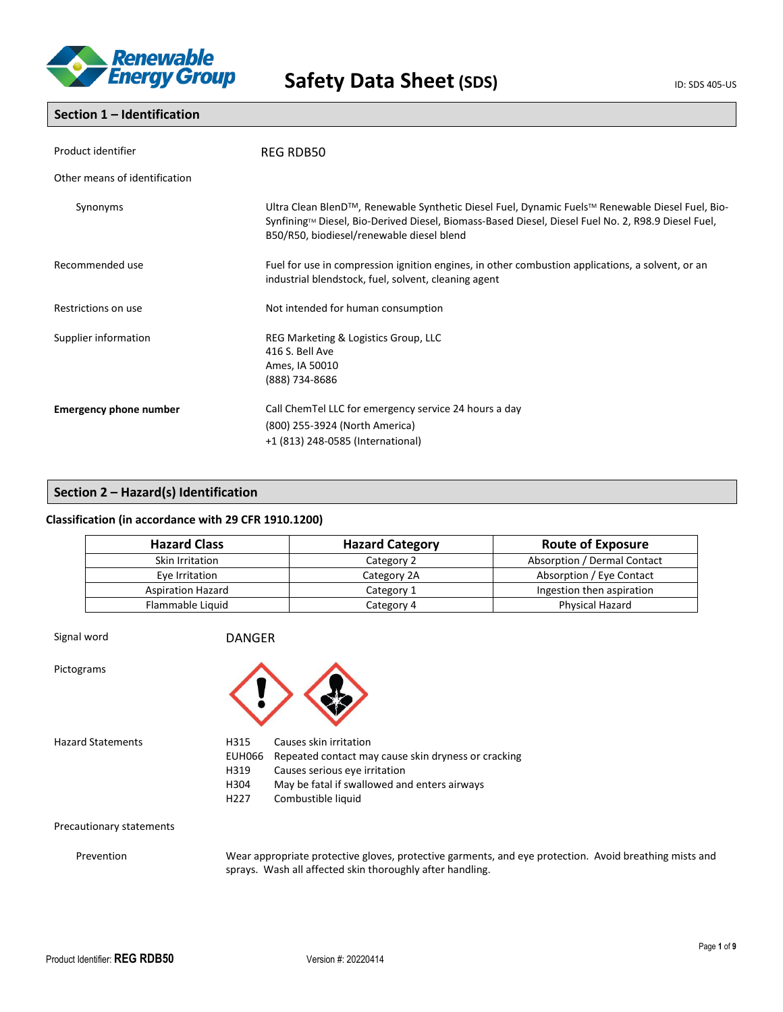

### **Section 1 – Identification**

| Product identifier            | <b>REG RDB50</b>                                                                                                                                                                                                                                   |  |  |
|-------------------------------|----------------------------------------------------------------------------------------------------------------------------------------------------------------------------------------------------------------------------------------------------|--|--|
| Other means of identification |                                                                                                                                                                                                                                                    |  |  |
| Synonyms                      | Ultra Clean BlenD™, Renewable Synthetic Diesel Fuel, Dynamic Fuels™ Renewable Diesel Fuel, Bio-<br>Synfining™ Diesel, Bio-Derived Diesel, Biomass-Based Diesel, Diesel Fuel No. 2, R98.9 Diesel Fuel,<br>B50/R50, biodiesel/renewable diesel blend |  |  |
| Recommended use               | Fuel for use in compression ignition engines, in other combustion applications, a solvent, or an<br>industrial blendstock, fuel, solvent, cleaning agent                                                                                           |  |  |
| Restrictions on use           | Not intended for human consumption                                                                                                                                                                                                                 |  |  |
| Supplier information          | REG Marketing & Logistics Group, LLC<br>416 S. Bell Ave<br>Ames, IA 50010<br>(888) 734-8686                                                                                                                                                        |  |  |
| <b>Emergency phone number</b> | Call ChemTel LLC for emergency service 24 hours a day<br>(800) 255-3924 (North America)<br>+1 (813) 248-0585 (International)                                                                                                                       |  |  |

### **Section 2 – Hazard(s) Identification**

### **Classification (in accordance with 29 CFR 1910.1200)**

| <b>Hazard Class</b>      | <b>Hazard Category</b> | <b>Route of Exposure</b>    |
|--------------------------|------------------------|-----------------------------|
| Skin Irritation          | Category 2             | Absorption / Dermal Contact |
| Eye Irritation           | Category 2A            | Absorption / Eye Contact    |
| <b>Aspiration Hazard</b> | Category 1             | Ingestion then aspiration   |
| Flammable Liquid         | Category 4             | Physical Hazard             |

Signal word DANGER Pictograms



Hazard Statements H315 Causes skin irritation

- EUH066 Repeated contact may cause skin dryness or cracking
- H319 Causes serious eye irritation
	- H304 May be fatal if swallowed and enters airways
- H227 Combustible liquid

Precautionary statements

Prevention Wear appropriate protective gloves, protective garments, and eye protection. Avoid breathing mists and sprays. Wash all affected skin thoroughly after handling.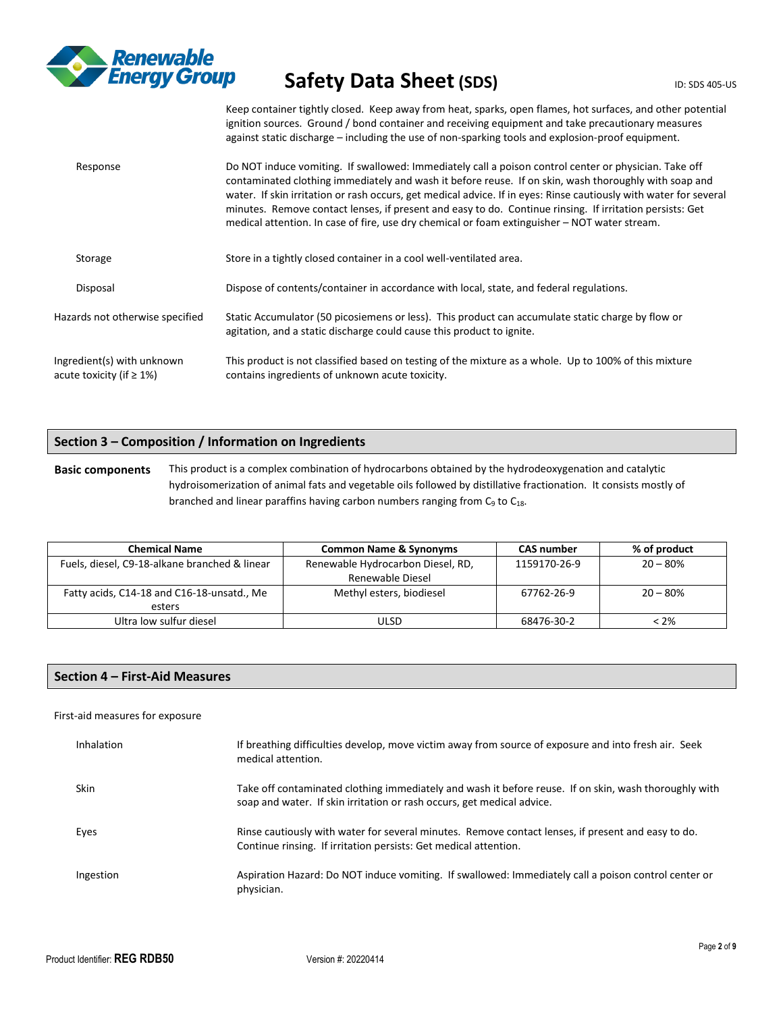

Keep container tightly closed. Keep away from heat, sparks, open flames, hot surfaces, and other potential ignition sources. Ground / bond container and receiving equipment and take precautionary measures against static discharge – including the use of non-sparking tools and explosion-proof equipment.

| Response                                                      | Do NOT induce vomiting. If swallowed: Immediately call a poison control center or physician. Take off<br>contaminated clothing immediately and wash it before reuse. If on skin, wash thoroughly with soap and<br>water. If skin irritation or rash occurs, get medical advice. If in eyes: Rinse cautiously with water for several<br>minutes. Remove contact lenses, if present and easy to do. Continue rinsing. If irritation persists: Get<br>medical attention. In case of fire, use dry chemical or foam extinguisher – NOT water stream. |
|---------------------------------------------------------------|--------------------------------------------------------------------------------------------------------------------------------------------------------------------------------------------------------------------------------------------------------------------------------------------------------------------------------------------------------------------------------------------------------------------------------------------------------------------------------------------------------------------------------------------------|
| Storage                                                       | Store in a tightly closed container in a cool well-ventilated area.                                                                                                                                                                                                                                                                                                                                                                                                                                                                              |
| Disposal                                                      | Dispose of contents/container in accordance with local, state, and federal regulations.                                                                                                                                                                                                                                                                                                                                                                                                                                                          |
| Hazards not otherwise specified                               | Static Accumulator (50 picosiemens or less). This product can accumulate static charge by flow or<br>agitation, and a static discharge could cause this product to ignite.                                                                                                                                                                                                                                                                                                                                                                       |
| Ingredient(s) with unknown<br>acute toxicity (if $\geq 1\%$ ) | This product is not classified based on testing of the mixture as a whole. Up to 100% of this mixture<br>contains ingredients of unknown acute toxicity.                                                                                                                                                                                                                                                                                                                                                                                         |

### **Section 3 – Composition / Information on Ingredients**

**Basic components** This product is a complex combination of hydrocarbons obtained by the hydrodeoxygenation and catalytic hydroisomerization of animal fats and vegetable oils followed by distillative fractionation. It consists mostly of branched and linear paraffins having carbon numbers ranging from  $C_9$  to  $C_{18}$ .

| <b>Chemical Name</b>                          | <b>Common Name &amp; Synonyms</b> | <b>CAS number</b> | % of product |
|-----------------------------------------------|-----------------------------------|-------------------|--------------|
| Fuels, diesel, C9-18-alkane branched & linear | Renewable Hydrocarbon Diesel, RD, | 1159170-26-9      | $20 - 80%$   |
|                                               | Renewable Diesel                  |                   |              |
| Fatty acids, C14-18 and C16-18-unsatd., Me    | Methyl esters, biodiesel          | 67762-26-9        | $20 - 80%$   |
| esters                                        |                                   |                   |              |
| Ultra low sulfur diesel                       | ULSD                              | 68476-30-2        | $< 2\%$      |

### **Section 4 – First-Aid Measures**

### First-aid measures for exposure

| Inhalation  | If breathing difficulties develop, move victim away from source of exposure and into fresh air. Seek<br>medical attention.                                                      |
|-------------|---------------------------------------------------------------------------------------------------------------------------------------------------------------------------------|
| <b>Skin</b> | Take off contaminated clothing immediately and wash it before reuse. If on skin, wash thoroughly with<br>soap and water. If skin irritation or rash occurs, get medical advice. |
| Eyes        | Rinse cautiously with water for several minutes. Remove contact lenses, if present and easy to do.<br>Continue rinsing. If irritation persists: Get medical attention.          |
| Ingestion   | Aspiration Hazard: Do NOT induce vomiting. If swallowed: Immediately call a poison control center or<br>physician.                                                              |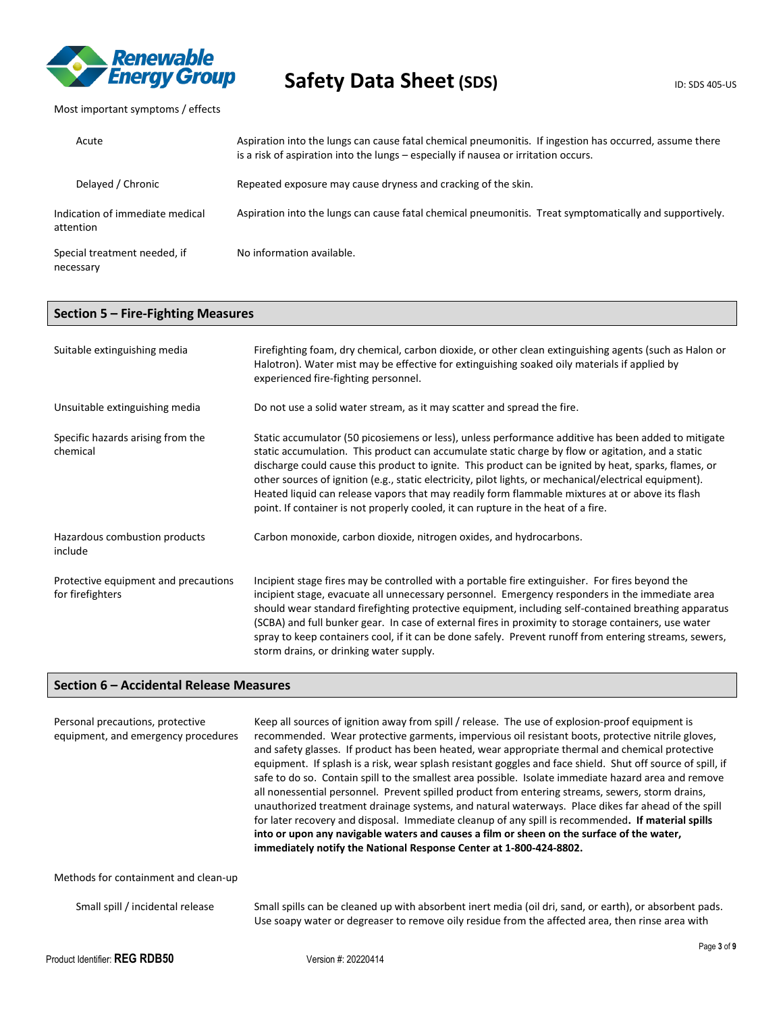

### Most important symptoms / effects

| Acute                                        | Aspiration into the lungs can cause fatal chemical pneumonitis. If ingestion has occurred, assume there<br>is a risk of aspiration into the lungs – especially if nausea or irritation occurs. |
|----------------------------------------------|------------------------------------------------------------------------------------------------------------------------------------------------------------------------------------------------|
| Delayed / Chronic                            | Repeated exposure may cause dryness and cracking of the skin.                                                                                                                                  |
| Indication of immediate medical<br>attention | Aspiration into the lungs can cause fatal chemical pneumonitis. Treat symptomatically and supportively.                                                                                        |
| Special treatment needed, if<br>necessary    | No information available.                                                                                                                                                                      |

### **Section 5 – Fire-Fighting Measures**

| Suitable extinguishing media                             | Firefighting foam, dry chemical, carbon dioxide, or other clean extinguishing agents (such as Halon or<br>Halotron). Water mist may be effective for extinguishing soaked oily materials if applied by<br>experienced fire-fighting personnel.                                                                                                                                                                                                                                                                                                                                                                       |
|----------------------------------------------------------|----------------------------------------------------------------------------------------------------------------------------------------------------------------------------------------------------------------------------------------------------------------------------------------------------------------------------------------------------------------------------------------------------------------------------------------------------------------------------------------------------------------------------------------------------------------------------------------------------------------------|
| Unsuitable extinguishing media                           | Do not use a solid water stream, as it may scatter and spread the fire.                                                                                                                                                                                                                                                                                                                                                                                                                                                                                                                                              |
| Specific hazards arising from the<br>chemical            | Static accumulator (50 picosiemens or less), unless performance additive has been added to mitigate<br>static accumulation. This product can accumulate static charge by flow or agitation, and a static<br>discharge could cause this product to ignite. This product can be ignited by heat, sparks, flames, or<br>other sources of ignition (e.g., static electricity, pilot lights, or mechanical/electrical equipment).<br>Heated liquid can release vapors that may readily form flammable mixtures at or above its flash<br>point. If container is not properly cooled, it can rupture in the heat of a fire. |
| Hazardous combustion products<br>include                 | Carbon monoxide, carbon dioxide, nitrogen oxides, and hydrocarbons.                                                                                                                                                                                                                                                                                                                                                                                                                                                                                                                                                  |
| Protective equipment and precautions<br>for firefighters | Incipient stage fires may be controlled with a portable fire extinguisher. For fires beyond the<br>incipient stage, evacuate all unnecessary personnel. Emergency responders in the immediate area<br>should wear standard firefighting protective equipment, including self-contained breathing apparatus<br>(SCBA) and full bunker gear. In case of external fires in proximity to storage containers, use water<br>spray to keep containers cool, if it can be done safely. Prevent runoff from entering streams, sewers,<br>storm drains, or drinking water supply.                                              |

### **Section 6 – Accidental Release Measures**

| Personal precautions, protective<br>equipment, and emergency procedures | Keep all sources of ignition away from spill / release. The use of explosion-proof equipment is<br>recommended. Wear protective garments, impervious oil resistant boots, protective nitrile gloves,<br>and safety glasses. If product has been heated, wear appropriate thermal and chemical protective<br>equipment. If splash is a risk, wear splash resistant goggles and face shield. Shut off source of spill, if<br>safe to do so. Contain spill to the smallest area possible. Isolate immediate hazard area and remove<br>all nonessential personnel. Prevent spilled product from entering streams, sewers, storm drains,<br>unauthorized treatment drainage systems, and natural waterways. Place dikes far ahead of the spill<br>for later recovery and disposal. Immediate cleanup of any spill is recommended. If material spills<br>into or upon any navigable waters and causes a film or sheen on the surface of the water,<br>immediately notify the National Response Center at 1-800-424-8802. |
|-------------------------------------------------------------------------|--------------------------------------------------------------------------------------------------------------------------------------------------------------------------------------------------------------------------------------------------------------------------------------------------------------------------------------------------------------------------------------------------------------------------------------------------------------------------------------------------------------------------------------------------------------------------------------------------------------------------------------------------------------------------------------------------------------------------------------------------------------------------------------------------------------------------------------------------------------------------------------------------------------------------------------------------------------------------------------------------------------------|
| Methods for containment and clean-up                                    |                                                                                                                                                                                                                                                                                                                                                                                                                                                                                                                                                                                                                                                                                                                                                                                                                                                                                                                                                                                                                    |
| Small spill / incidental release                                        | Small spills can be cleaned up with absorbent inert media (oil dri, sand, or earth), or absorbent pads.<br>Use soapy water or degreaser to remove oily residue from the affected area, then rinse area with                                                                                                                                                                                                                                                                                                                                                                                                                                                                                                                                                                                                                                                                                                                                                                                                        |
|                                                                         | Page 3 of                                                                                                                                                                                                                                                                                                                                                                                                                                                                                                                                                                                                                                                                                                                                                                                                                                                                                                                                                                                                          |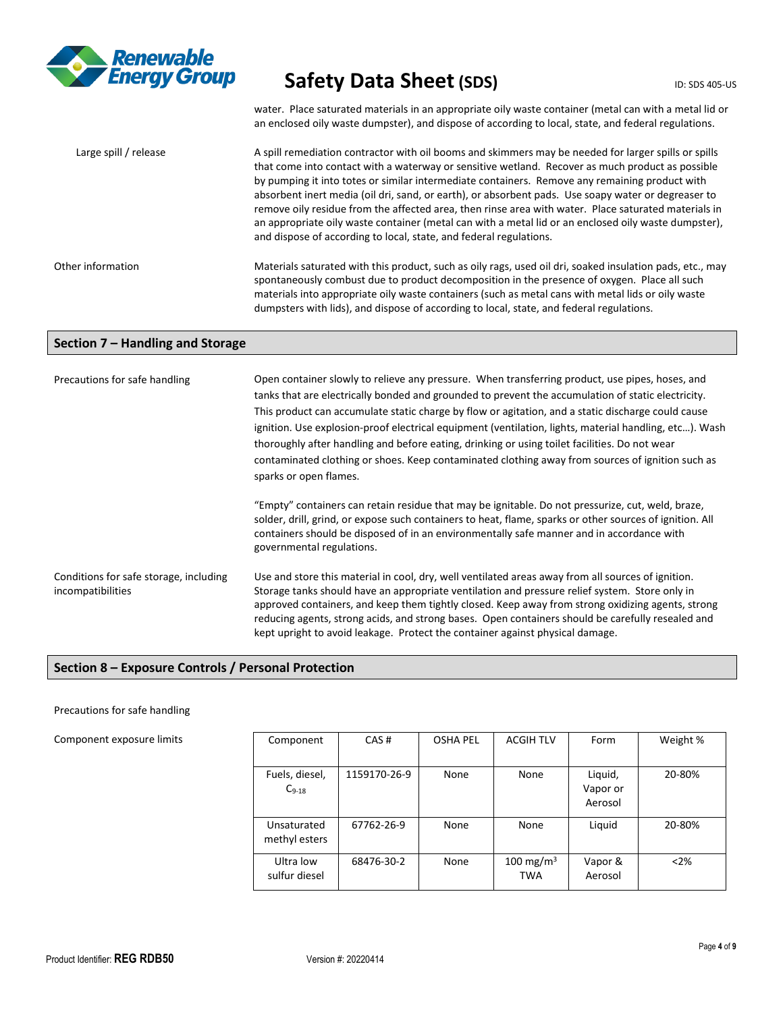

water. Place saturated materials in an appropriate oily waste container (metal can with a metal lid or an enclosed oily waste dumpster), and dispose of according to local, state, and federal regulations.

| Large spill / release | A spill remediation contractor with oil booms and skimmers may be needed for larger spills or spills<br>that come into contact with a waterway or sensitive wetland. Recover as much product as possible<br>by pumping it into totes or similar intermediate containers. Remove any remaining product with<br>absorbent inert media (oil dri, sand, or earth), or absorbent pads. Use soapy water or degreaser to<br>remove oily residue from the affected area, then rinse area with water. Place saturated materials in<br>an appropriate oily waste container (metal can with a metal lid or an enclosed oily waste dumpster),<br>and dispose of according to local, state, and federal regulations. |
|-----------------------|---------------------------------------------------------------------------------------------------------------------------------------------------------------------------------------------------------------------------------------------------------------------------------------------------------------------------------------------------------------------------------------------------------------------------------------------------------------------------------------------------------------------------------------------------------------------------------------------------------------------------------------------------------------------------------------------------------|
| Other information     | Materials saturated with this product, such as oily rags, used oil dri, soaked insulation pads, etc., may<br>spontaneously combust due to product decomposition in the presence of oxygen. Place all such<br>materials into appropriate oily waste containers (such as metal cans with metal lids or oily waste<br>dumpsters with lids), and dispose of according to local, state, and federal regulations.                                                                                                                                                                                                                                                                                             |

### **Section 7 – Handling and Storage**

| Precautions for safe handling                               | Open container slowly to relieve any pressure. When transferring product, use pipes, hoses, and<br>tanks that are electrically bonded and grounded to prevent the accumulation of static electricity.<br>This product can accumulate static charge by flow or agitation, and a static discharge could cause<br>ignition. Use explosion-proof electrical equipment (ventilation, lights, material handling, etc). Wash<br>thoroughly after handling and before eating, drinking or using toilet facilities. Do not wear<br>contaminated clothing or shoes. Keep contaminated clothing away from sources of ignition such as<br>sparks or open flames. |  |  |  |
|-------------------------------------------------------------|------------------------------------------------------------------------------------------------------------------------------------------------------------------------------------------------------------------------------------------------------------------------------------------------------------------------------------------------------------------------------------------------------------------------------------------------------------------------------------------------------------------------------------------------------------------------------------------------------------------------------------------------------|--|--|--|
|                                                             | "Empty" containers can retain residue that may be ignitable. Do not pressurize, cut, weld, braze,<br>solder, drill, grind, or expose such containers to heat, flame, sparks or other sources of ignition. All<br>containers should be disposed of in an environmentally safe manner and in accordance with<br>governmental regulations.                                                                                                                                                                                                                                                                                                              |  |  |  |
| Conditions for safe storage, including<br>incompatibilities | Use and store this material in cool, dry, well ventilated areas away from all sources of ignition.<br>Storage tanks should have an appropriate ventilation and pressure relief system. Store only in<br>approved containers, and keep them tightly closed. Keep away from strong oxidizing agents, strong<br>reducing agents, strong acids, and strong bases. Open containers should be carefully resealed and<br>kept upright to avoid leakage. Protect the container against physical damage.                                                                                                                                                      |  |  |  |

### **Section 8 – Exposure Controls / Personal Protection**

### Precautions for safe handling

### Component exposure limits

| Component                    | CAS#         | <b>OSHA PEL</b> | <b>ACGIH TLV</b>                    | Form               | Weight % |
|------------------------------|--------------|-----------------|-------------------------------------|--------------------|----------|
|                              |              |                 |                                     |                    |          |
| Fuels, diesel,               | 1159170-26-9 | None            | None                                | Liquid,            | 20-80%   |
| $C_{9-18}$                   |              |                 |                                     | Vapor or           |          |
|                              |              |                 |                                     | Aerosol            |          |
| Unsaturated<br>methyl esters | 67762-26-9   | None            | None                                | Liquid             | 20-80%   |
| Ultra low<br>sulfur diesel   | 68476-30-2   | None            | 100 mg/m <sup>3</sup><br><b>TWA</b> | Vapor &<br>Aerosol | < 2%     |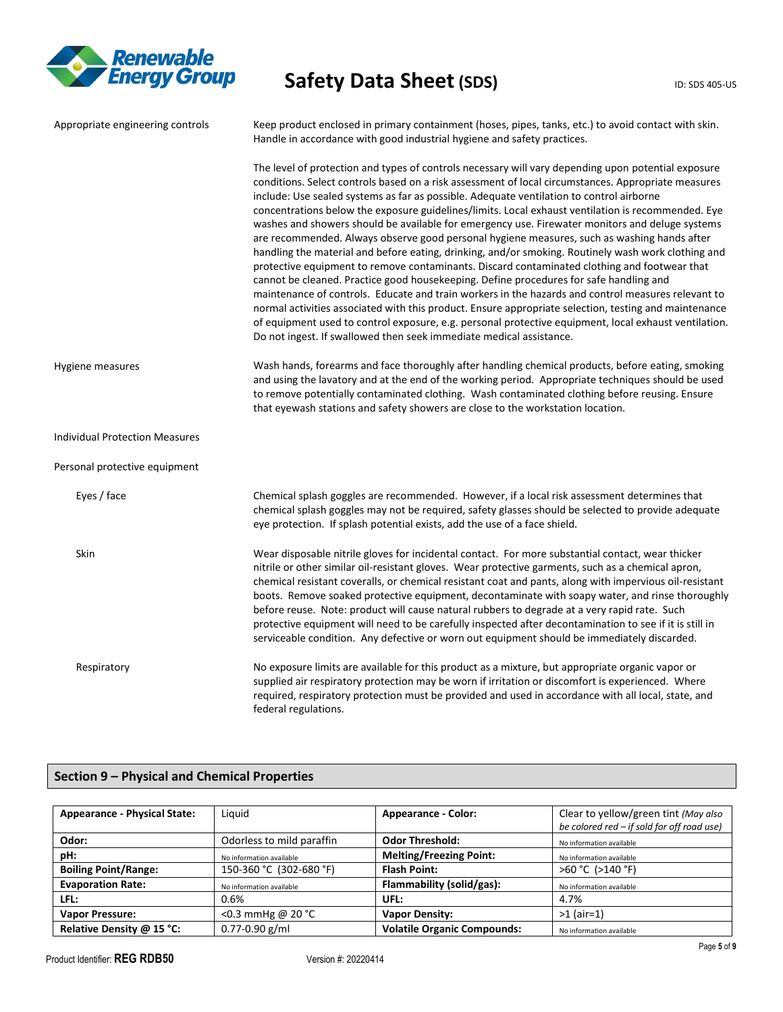

| Appropriate engineering controls      | Keep product enclosed in primary containment (hoses, pipes, tanks, etc.) to avoid contact with skin.<br>Handle in accordance with good industrial hygiene and safety practices.                                                                                                                                                                                                                                                                                                                                                                                                                                                                                                                                                                                                                                                                                                                                                                                                                                                                                                                                                                                                                                                                                                                                |
|---------------------------------------|----------------------------------------------------------------------------------------------------------------------------------------------------------------------------------------------------------------------------------------------------------------------------------------------------------------------------------------------------------------------------------------------------------------------------------------------------------------------------------------------------------------------------------------------------------------------------------------------------------------------------------------------------------------------------------------------------------------------------------------------------------------------------------------------------------------------------------------------------------------------------------------------------------------------------------------------------------------------------------------------------------------------------------------------------------------------------------------------------------------------------------------------------------------------------------------------------------------------------------------------------------------------------------------------------------------|
|                                       | The level of protection and types of controls necessary will vary depending upon potential exposure<br>conditions. Select controls based on a risk assessment of local circumstances. Appropriate measures<br>include: Use sealed systems as far as possible. Adequate ventilation to control airborne<br>concentrations below the exposure guidelines/limits. Local exhaust ventilation is recommended. Eye<br>washes and showers should be available for emergency use. Firewater monitors and deluge systems<br>are recommended. Always observe good personal hygiene measures, such as washing hands after<br>handling the material and before eating, drinking, and/or smoking. Routinely wash work clothing and<br>protective equipment to remove contaminants. Discard contaminated clothing and footwear that<br>cannot be cleaned. Practice good housekeeping. Define procedures for safe handling and<br>maintenance of controls. Educate and train workers in the hazards and control measures relevant to<br>normal activities associated with this product. Ensure appropriate selection, testing and maintenance<br>of equipment used to control exposure, e.g. personal protective equipment, local exhaust ventilation.<br>Do not ingest. If swallowed then seek immediate medical assistance. |
| Hygiene measures                      | Wash hands, forearms and face thoroughly after handling chemical products, before eating, smoking<br>and using the lavatory and at the end of the working period. Appropriate techniques should be used<br>to remove potentially contaminated clothing. Wash contaminated clothing before reusing. Ensure<br>that eyewash stations and safety showers are close to the workstation location.                                                                                                                                                                                                                                                                                                                                                                                                                                                                                                                                                                                                                                                                                                                                                                                                                                                                                                                   |
| <b>Individual Protection Measures</b> |                                                                                                                                                                                                                                                                                                                                                                                                                                                                                                                                                                                                                                                                                                                                                                                                                                                                                                                                                                                                                                                                                                                                                                                                                                                                                                                |
| Personal protective equipment         |                                                                                                                                                                                                                                                                                                                                                                                                                                                                                                                                                                                                                                                                                                                                                                                                                                                                                                                                                                                                                                                                                                                                                                                                                                                                                                                |
| Eyes / face                           | Chemical splash goggles are recommended. However, if a local risk assessment determines that<br>chemical splash goggles may not be required, safety glasses should be selected to provide adequate<br>eye protection. If splash potential exists, add the use of a face shield.                                                                                                                                                                                                                                                                                                                                                                                                                                                                                                                                                                                                                                                                                                                                                                                                                                                                                                                                                                                                                                |
| Skin                                  | Wear disposable nitrile gloves for incidental contact. For more substantial contact, wear thicker<br>nitrile or other similar oil-resistant gloves. Wear protective garments, such as a chemical apron,<br>chemical resistant coveralls, or chemical resistant coat and pants, along with impervious oil-resistant<br>boots. Remove soaked protective equipment, decontaminate with soapy water, and rinse thoroughly<br>before reuse. Note: product will cause natural rubbers to degrade at a very rapid rate. Such<br>protective equipment will need to be carefully inspected after decontamination to see if it is still in<br>serviceable condition. Any defective or worn out equipment should be immediately discarded.                                                                                                                                                                                                                                                                                                                                                                                                                                                                                                                                                                                |
| Respiratory                           | No exposure limits are available for this product as a mixture, but appropriate organic vapor or<br>supplied air respiratory protection may be worn if irritation or discomfort is experienced. Where<br>required, respiratory protection must be provided and used in accordance with all local, state, and<br>federal regulations.                                                                                                                                                                                                                                                                                                                                                                                                                                                                                                                                                                                                                                                                                                                                                                                                                                                                                                                                                                           |

### **Section 9 – Physical and Chemical Properties**

| <b>Appearance - Physical State:</b> | Liquid                    | <b>Appearance - Color:</b>         | Clear to yellow/green tint (May also<br>be colored red - if sold for off road use) |  |
|-------------------------------------|---------------------------|------------------------------------|------------------------------------------------------------------------------------|--|
| Odor:                               | Odorless to mild paraffin | <b>Odor Threshold:</b>             | No information available                                                           |  |
| pH:                                 | No information available  | <b>Melting/Freezing Point:</b>     | No information available                                                           |  |
| <b>Boiling Point/Range:</b>         | 150-360 °C (302-680 °F)   | <b>Flash Point:</b>                | >60 °C (>140 °F)                                                                   |  |
| <b>Evaporation Rate:</b>            | No information available  | Flammability (solid/gas):          | No information available                                                           |  |
| LFL:                                | 0.6%                      | UFL:                               | 4.7%                                                                               |  |
| <b>Vapor Pressure:</b>              | <0.3 mmHg @ 20 °C         | <b>Vapor Density:</b>              | $>1$ (air=1)                                                                       |  |
| Relative Density @ 15 °C:           | $0.77 - 0.90$ g/ml        | <b>Volatile Organic Compounds:</b> | No information available                                                           |  |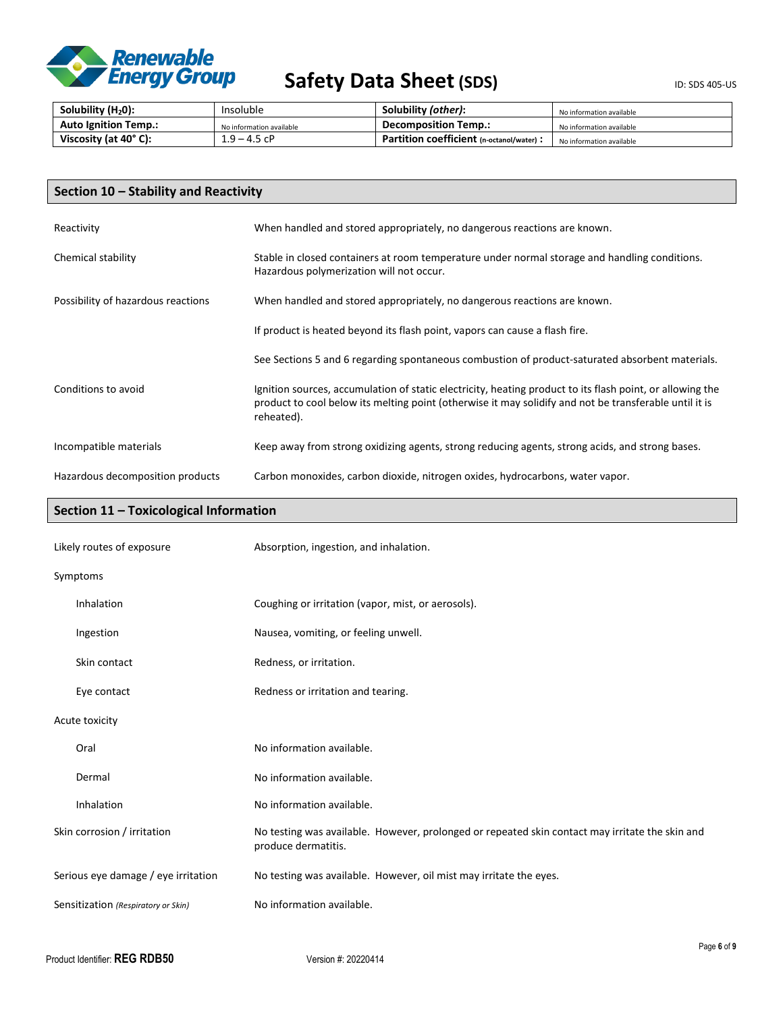

| Solubility $(H20)$ :        | Insoluble                | Solubility (other):                       | No information available |
|-----------------------------|--------------------------|-------------------------------------------|--------------------------|
| <b>Auto Ignition Temp.:</b> | No information available | <b>Decomposition Temp.:</b>               | No information available |
| Viscosity (at 40°C):        | $1.9 - 4.5$ cP           | Partition coefficient (n-octanol/water) : | No information available |

| Section 10 - Stability and Reactivity |                                                                                                                                                                                                                                   |  |
|---------------------------------------|-----------------------------------------------------------------------------------------------------------------------------------------------------------------------------------------------------------------------------------|--|
| Reactivity                            | When handled and stored appropriately, no dangerous reactions are known.                                                                                                                                                          |  |
| Chemical stability                    | Stable in closed containers at room temperature under normal storage and handling conditions.<br>Hazardous polymerization will not occur.                                                                                         |  |
| Possibility of hazardous reactions    | When handled and stored appropriately, no dangerous reactions are known.                                                                                                                                                          |  |
|                                       | If product is heated beyond its flash point, vapors can cause a flash fire.                                                                                                                                                       |  |
|                                       | See Sections 5 and 6 regarding spontaneous combustion of product-saturated absorbent materials.                                                                                                                                   |  |
| Conditions to avoid                   | Ignition sources, accumulation of static electricity, heating product to its flash point, or allowing the<br>product to cool below its melting point (otherwise it may solidify and not be transferable until it is<br>reheated). |  |
| Incompatible materials                | Keep away from strong oxidizing agents, strong reducing agents, strong acids, and strong bases.                                                                                                                                   |  |
| Hazardous decomposition products      | Carbon monoxides, carbon dioxide, nitrogen oxides, hydrocarbons, water vapor.                                                                                                                                                     |  |

### **Section 11 – Toxicological Information**

| Likely routes of exposure<br>Absorption, ingestion, and inhalation. |                                                                                                                        |
|---------------------------------------------------------------------|------------------------------------------------------------------------------------------------------------------------|
| Symptoms                                                            |                                                                                                                        |
| Inhalation                                                          | Coughing or irritation (vapor, mist, or aerosols).                                                                     |
| Ingestion                                                           | Nausea, vomiting, or feeling unwell.                                                                                   |
| Skin contact                                                        | Redness, or irritation.                                                                                                |
| Eye contact                                                         | Redness or irritation and tearing.                                                                                     |
| Acute toxicity                                                      |                                                                                                                        |
| Oral                                                                | No information available.                                                                                              |
| Dermal                                                              | No information available.                                                                                              |
| Inhalation                                                          | No information available.                                                                                              |
| Skin corrosion / irritation                                         | No testing was available. However, prolonged or repeated skin contact may irritate the skin and<br>produce dermatitis. |
| Serious eye damage / eye irritation                                 | No testing was available. However, oil mist may irritate the eyes.                                                     |
| Sensitization (Respiratory or Skin)                                 | No information available.                                                                                              |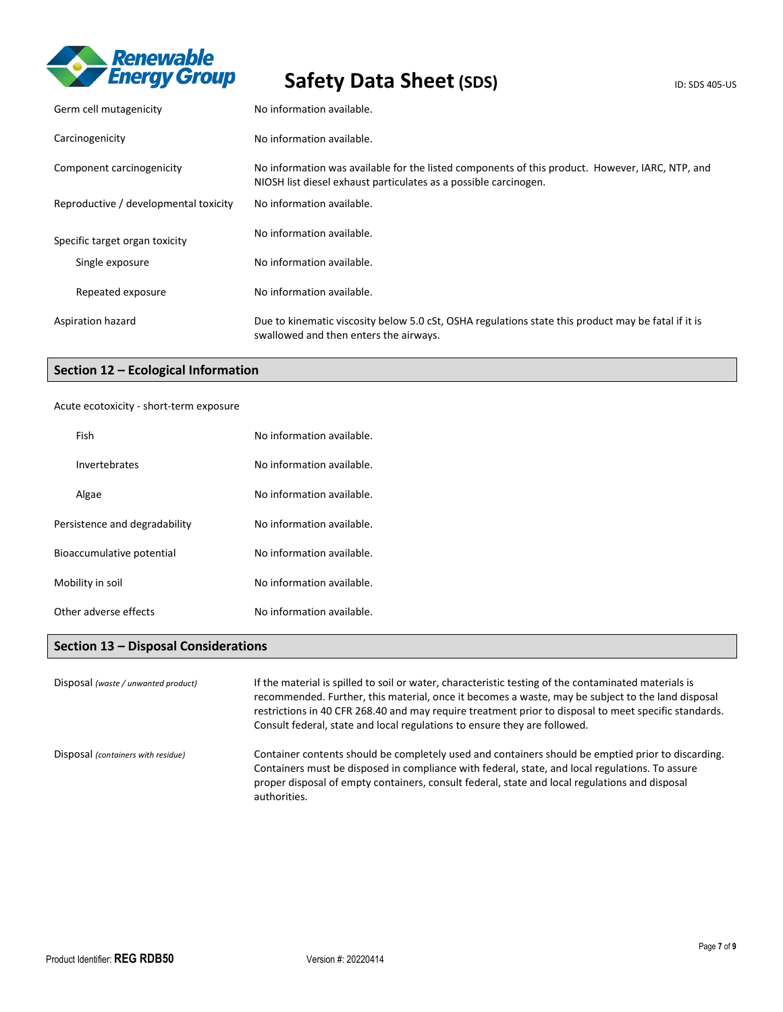

# Safety Data Sheet (SDS) **Safety** Data Sheet (SDS)

| Germ cell mutagenicity                | No information available.                                                                                                                                           |
|---------------------------------------|---------------------------------------------------------------------------------------------------------------------------------------------------------------------|
| Carcinogenicity                       | No information available.                                                                                                                                           |
| Component carcinogenicity             | No information was available for the listed components of this product. However, IARC, NTP, and<br>NIOSH list diesel exhaust particulates as a possible carcinogen. |
| Reproductive / developmental toxicity | No information available.                                                                                                                                           |
| Specific target organ toxicity        | No information available.                                                                                                                                           |
| Single exposure                       | No information available.                                                                                                                                           |
| Repeated exposure                     | No information available.                                                                                                                                           |
| Aspiration hazard                     | Due to kinematic viscosity below 5.0 cSt, OSHA regulations state this product may be fatal if it is<br>swallowed and then enters the airways.                       |

### **Section 12 – Ecological Information**

### Acute ecotoxicity - short-term exposure

| Fish                          | No information available. |
|-------------------------------|---------------------------|
| Invertebrates                 | No information available. |
| Algae                         | No information available. |
| Persistence and degradability | No information available. |
| Bioaccumulative potential     | No information available. |
| Mobility in soil              | No information available. |
| Other adverse effects         | No information available. |

### **Section 13 – Disposal Considerations**

| Disposal (waste / unwanted product) | If the material is spilled to soil or water, characteristic testing of the contaminated materials is<br>recommended. Further, this material, once it becomes a waste, may be subject to the land disposal<br>restrictions in 40 CFR 268.40 and may require treatment prior to disposal to meet specific standards.<br>Consult federal, state and local regulations to ensure they are followed. |
|-------------------------------------|-------------------------------------------------------------------------------------------------------------------------------------------------------------------------------------------------------------------------------------------------------------------------------------------------------------------------------------------------------------------------------------------------|
| Disposal (containers with residue)  | Container contents should be completely used and containers should be emptied prior to discarding.<br>Containers must be disposed in compliance with federal, state, and local regulations. To assure<br>proper disposal of empty containers, consult federal, state and local regulations and disposal<br>authorities.                                                                         |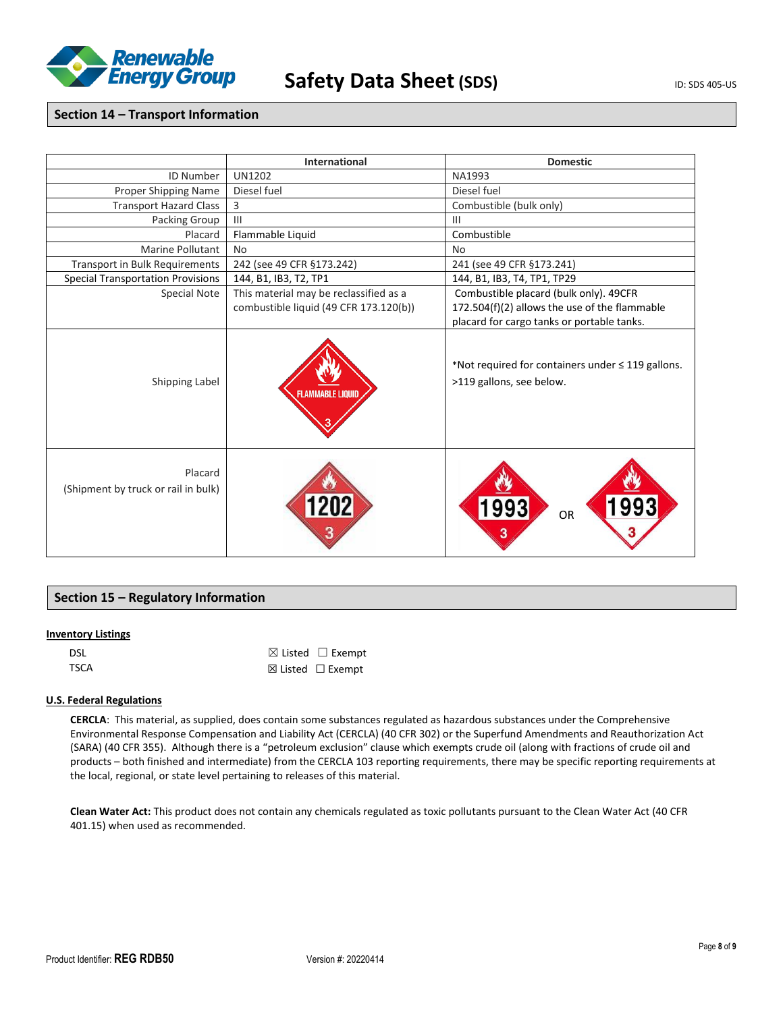

### **Section 14 – Transport Information**

|                                                | <b>International</b>                                                             | <b>Domestic</b>                                                                                                                       |  |
|------------------------------------------------|----------------------------------------------------------------------------------|---------------------------------------------------------------------------------------------------------------------------------------|--|
| <b>ID Number</b>                               | <b>UN1202</b>                                                                    | NA1993                                                                                                                                |  |
| Proper Shipping Name                           | Diesel fuel                                                                      | Diesel fuel                                                                                                                           |  |
| <b>Transport Hazard Class</b>                  | 3                                                                                | Combustible (bulk only)                                                                                                               |  |
| Packing Group                                  | III                                                                              | $\mathbf{III}$                                                                                                                        |  |
| Placard                                        | Flammable Liquid                                                                 | Combustible                                                                                                                           |  |
| <b>Marine Pollutant</b>                        | N <sub>0</sub>                                                                   | <b>No</b>                                                                                                                             |  |
| <b>Transport in Bulk Requirements</b>          | 242 (see 49 CFR §173.242)                                                        | 241 (see 49 CFR §173.241)                                                                                                             |  |
| <b>Special Transportation Provisions</b>       | 144, B1, IB3, T2, TP1                                                            | 144, B1, IB3, T4, TP1, TP29                                                                                                           |  |
| <b>Special Note</b>                            | This material may be reclassified as a<br>combustible liquid (49 CFR 173.120(b)) | Combustible placard (bulk only). 49CFR<br>172.504(f)(2) allows the use of the flammable<br>placard for cargo tanks or portable tanks. |  |
| Shipping Label                                 | <b>FLAMMABLE LIQUID</b>                                                          | *Not required for containers under $\leq$ 119 gallons.<br>>119 gallons, see below.                                                    |  |
| Placard<br>(Shipment by truck or rail in bulk) |                                                                                  | 993<br>993<br>OR<br>3                                                                                                                 |  |

### **Section 15 – Regulatory Information**

### **Inventory Listings**

| DSL         | $\boxtimes$ Listed $\Box$ Exempt |
|-------------|----------------------------------|
| <b>TSCA</b> | $\boxtimes$ Listed $□$ Exempt    |

### **U.S. Federal Regulations**

**CERCLA**: This material, as supplied, does contain some substances regulated as hazardous substances under the Comprehensive Environmental Response Compensation and Liability Act (CERCLA) (40 CFR 302) or the Superfund Amendments and Reauthorization Act (SARA) (40 CFR 355). Although there is a "petroleum exclusion" clause which exempts crude oil (along with fractions of crude oil and products – both finished and intermediate) from the CERCLA 103 reporting requirements, there may be specific reporting requirements at the local, regional, or state level pertaining to releases of this material.

**Clean Water Act:** This product does not contain any chemicals regulated as toxic pollutants pursuant to the Clean Water Act (40 CFR 401.15) when used as recommended.